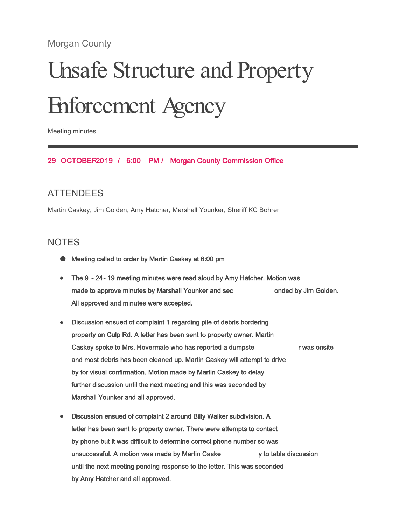# Morgan County

# Unsafe Structure and Property Enforcement Agency

Meeting minutes

#### 29 OCTOBER 2019 / 6:00 PM / Morgan County Commission Office

## **ATTENDEES**

Martin Caskey, Jim Golden, Amy Hatcher, Marshall Younker, Sheriff KC Bohrer

## **NOTES**

- Meeting called to order by Martin Caskey at 6:00 pm
- The 9 24- 19 meeting minutes were read aloud by Amy Hatcher. Motion was made to approve minutes by Marshall Younker and sec onded by Jim Golden. All approved and minutes were accepted.
- Discussion ensued of complaint 1 regarding pile of debris bordering property on Culp Rd. A letter has been sent to property owner. Martin Caskey spoke to Mrs. Hovermale who has reported a dumpste r was onsite and most debris has been cleaned up. Martin Caskey will attempt to drive by for visual confirmation. Motion made by Martin Caskey to delay further discussion until the next meeting and this was seconded by Marshall Younker and all approved.
- Discussion ensued of complaint 2 around Billy Walker subdivision. A letter has been sent to property owner. There were attempts to contact by phone but it was difficult to determine correct phone number so was unsuccessful. A motion was made by Martin Caske y to table discussion until the next meeting pending response to the letter. This was seconded by Amy Hatcher and all approved.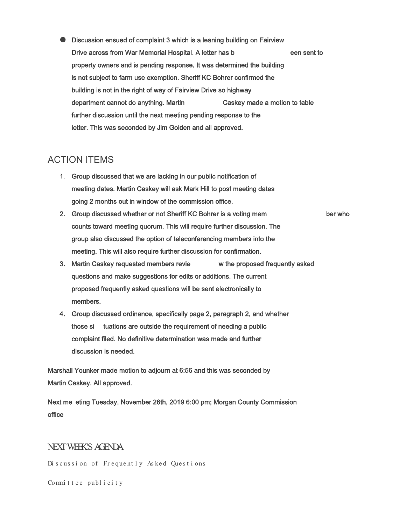Discussion ensued of complaint 3 which is a leaning building on Fairview Drive across from War Memorial Hospital. A letter has b een sent to property owners and is pending response. It was determined the building is not subject to farm use exemption. Sheriff KC Bohrer confirmed the building is not in the right of way of Fairview Drive so highway department cannot do anything. Martin Caskey made a motion to table further discussion until the next meeting pending response to the letter. This was seconded by Jim Golden and all approved.

## ACTION ITEMS

- 1. Group discussed that we are lacking in our public notification of meeting dates. Martin Caskey will ask Mark Hill to post meeting dates going 2 months out in window of the commission office.
- 2. Group discussed whether or not Sheriff KC Bohrer is a voting mem ber who counts toward meeting quorum. This will require further discussion. The group also discussed the option of teleconferencing members into the meeting. This will also require further discussion for confirmation.
- 3. Martin Caskey requested members revie w the proposed frequently asked questions and make suggestions for edits or additions. The current proposed frequently asked questions will be sent electronically to members.
- 4. Group discussed ordinance, specifically page 2, paragraph 2, and whether those si tuations are outside the requirement of needing a public complaint filed. No definitive determination was made and further discussion is needed.

Marshall Younker made motion to adjourn at 6:56 and this was seconded by Martin Caskey. All approved.

Next me eting Tuesday, November 26th, 2019 6:00 pm; Morgan County Commission office

#### NEXT WEEK'S AGENDA

Discussion of Frequently Asked Questions

Committee publicity